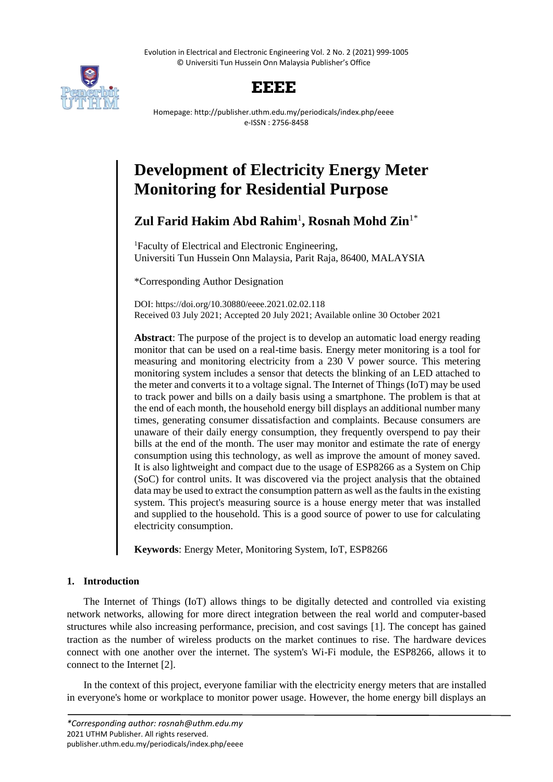Evolution in Electrical and Electronic Engineering Vol. 2 No. 2 (2021) 999-1005 © Universiti Tun Hussein Onn Malaysia Publisher's Office



# **EEEE**

Homepage: http://publisher.uthm.edu.my/periodicals/index.php/eeee e-ISSN : 2756-8458

# **Development of Electricity Energy Meter Monitoring for Residential Purpose**

# **Zul Farid Hakim Abd Rahim**<sup>1</sup> **, Rosnah Mohd Zin**1\*

<sup>1</sup>Faculty of Electrical and Electronic Engineering, Universiti Tun Hussein Onn Malaysia, Parit Raja, 86400, MALAYSIA

\*Corresponding Author Designation

DOI: https://doi.org/10.30880/eeee.2021.02.02.118 Received 03 July 2021; Accepted 20 July 2021; Available online 30 October 2021

**Abstract**: The purpose of the project is to develop an automatic load energy reading monitor that can be used on a real-time basis. Energy meter monitoring is a tool for measuring and monitoring electricity from a 230 V power source. This metering monitoring system includes a sensor that detects the blinking of an LED attached to the meter and converts it to a voltage signal. The Internet of Things (IoT) may be used to track power and bills on a daily basis using a smartphone. The problem is that at the end of each month, the household energy bill displays an additional number many times, generating consumer dissatisfaction and complaints. Because consumers are unaware of their daily energy consumption, they frequently overspend to pay their bills at the end of the month. The user may monitor and estimate the rate of energy consumption using this technology, as well as improve the amount of money saved. It is also lightweight and compact due to the usage of ESP8266 as a System on Chip (SoC) for control units. It was discovered via the project analysis that the obtained data may be used to extract the consumption pattern as well as the faults in the existing system. This project's measuring source is a house energy meter that was installed and supplied to the household. This is a good source of power to use for calculating electricity consumption.

**Keywords**: Energy Meter, Monitoring System, IoT, ESP8266

## **1. Introduction**

The Internet of Things (IoT) allows things to be digitally detected and controlled via existing network networks, allowing for more direct integration between the real world and computer-based structures while also increasing performance, precision, and cost savings [1]. The concept has gained traction as the number of wireless products on the market continues to rise. The hardware devices connect with one another over the internet. The system's Wi-Fi module, the ESP8266, allows it to connect to the Internet [2].

In the context of this project, everyone familiar with the electricity energy meters that are installed in everyone's home or workplace to monitor power usage. However, the home energy bill displays an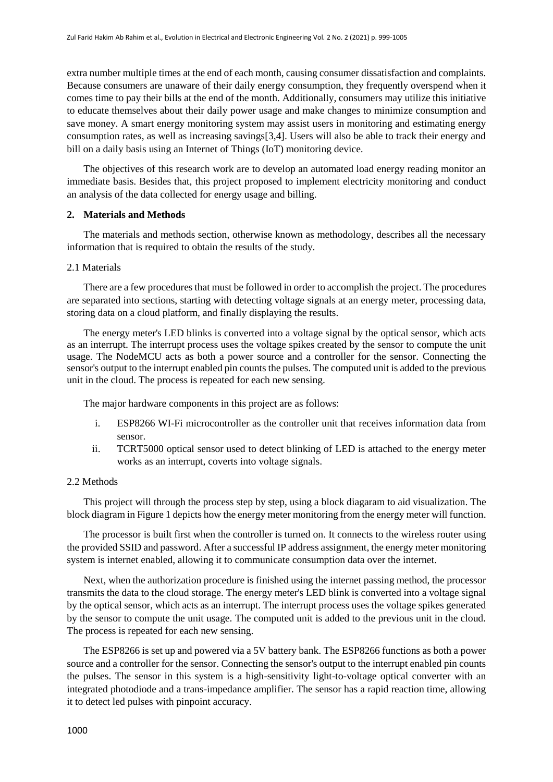extra number multiple times at the end of each month, causing consumer dissatisfaction and complaints. Because consumers are unaware of their daily energy consumption, they frequently overspend when it comes time to pay their bills at the end of the month. Additionally, consumers may utilize this initiative to educate themselves about their daily power usage and make changes to minimize consumption and save money. A smart energy monitoring system may assist users in monitoring and estimating energy consumption rates, as well as increasing savings[3,4]. Users will also be able to track their energy and bill on a daily basis using an Internet of Things (IoT) monitoring device.

The objectives of this research work are to develop an automated load energy reading monitor an immediate basis. Besides that, this project proposed to implement electricity monitoring and conduct an analysis of the data collected for energy usage and billing.

#### **2. Materials and Methods**

The materials and methods section, otherwise known as methodology, describes all the necessary information that is required to obtain the results of the study.

#### 2.1 Materials

There are a few procedures that must be followed in order to accomplish the project. The procedures are separated into sections, starting with detecting voltage signals at an energy meter, processing data, storing data on a cloud platform, and finally displaying the results.

The energy meter's LED blinks is converted into a voltage signal by the optical sensor, which acts as an interrupt. The interrupt process uses the voltage spikes created by the sensor to compute the unit usage. The NodeMCU acts as both a power source and a controller for the sensor. Connecting the sensor's output to the interrupt enabled pin counts the pulses. The computed unit is added to the previous unit in the cloud. The process is repeated for each new sensing.

The major hardware components in this project are as follows:

- i. ESP8266 WI-Fi microcontroller as the controller unit that receives information data from sensor.
- ii. TCRT5000 optical sensor used to detect blinking of LED is attached to the energy meter works as an interrupt, coverts into voltage signals.

#### 2.2 Methods

This project will through the process step by step, using a block diagaram to aid visualization. The block diagram in Figure 1 depicts how the energy meter monitoring from the energy meter will function.

The processor is built first when the controller is turned on. It connects to the wireless router using the provided SSID and password. After a successful IP address assignment, the energy meter monitoring system is internet enabled, allowing it to communicate consumption data over the internet.

Next, when the authorization procedure is finished using the internet passing method, the processor transmits the data to the cloud storage. The energy meter's LED blink is converted into a voltage signal by the optical sensor, which acts as an interrupt. The interrupt process uses the voltage spikes generated by the sensor to compute the unit usage. The computed unit is added to the previous unit in the cloud. The process is repeated for each new sensing.

The ESP8266 is set up and powered via a 5V battery bank. The ESP8266 functions as both a power source and a controller for the sensor. Connecting the sensor's output to the interrupt enabled pin counts the pulses. The sensor in this system is a high-sensitivity light-to-voltage optical converter with an integrated photodiode and a trans-impedance amplifier. The sensor has a rapid reaction time, allowing it to detect led pulses with pinpoint accuracy.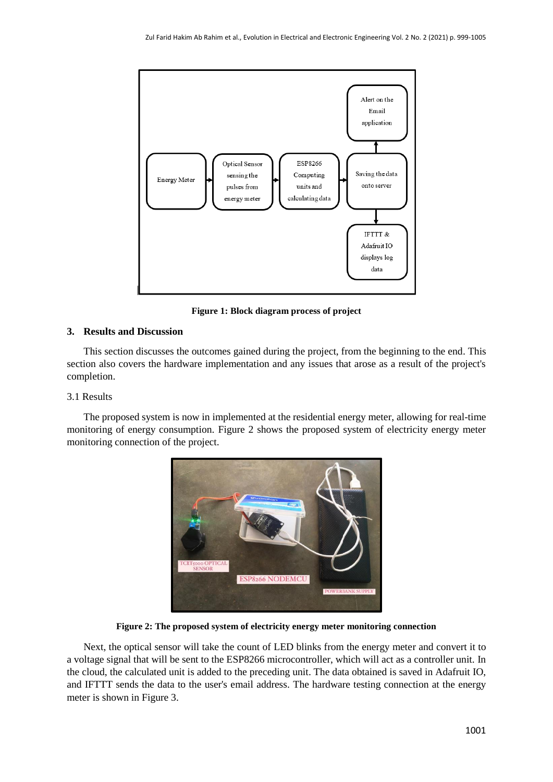

**Figure 1: Block diagram process of project**

## **3. Results and Discussion**

This section discusses the outcomes gained during the project, from the beginning to the end. This section also covers the hardware implementation and any issues that arose as a result of the project's completion.

#### 3.1 Results

The proposed system is now in implemented at the residential energy meter, allowing for real-time monitoring of energy consumption. Figure 2 shows the proposed system of electricity energy meter monitoring connection of the project.



**Figure 2: The proposed system of electricity energy meter monitoring connection**

Next, the optical sensor will take the count of LED blinks from the energy meter and convert it to a voltage signal that will be sent to the ESP8266 microcontroller, which will act as a controller unit. In the cloud, the calculated unit is added to the preceding unit. The data obtained is saved in Adafruit IO, and IFTTT sends the data to the user's email address. The hardware testing connection at the energy meter is shown in Figure 3.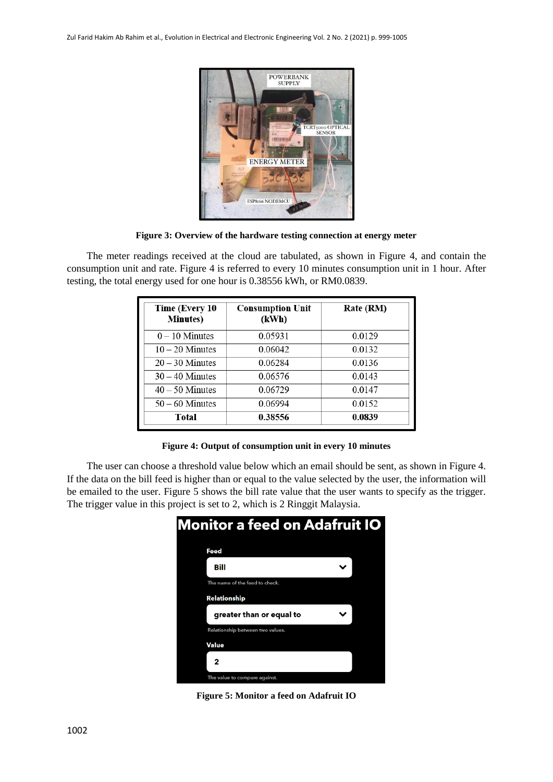

**Figure 3: Overview of the hardware testing connection at energy meter**

The meter readings received at the cloud are tabulated, as shown in Figure 4, and contain the consumption unit and rate. Figure 4 is referred to every 10 minutes consumption unit in 1 hour. After testing, the total energy used for one hour is 0.38556 kWh, or RM0.0839.

| Time (Every 10<br><b>Minutes</b> ) | <b>Consumption Unit</b><br>(kWh) | Rate (RM) |
|------------------------------------|----------------------------------|-----------|
| $0 - 10$ Minutes                   | 0.05931                          | 0.0129    |
| $10 - 20$ Minutes                  | 0.06042                          | 0.0132    |
| $20 - 30$ Minutes                  | 0.06284                          | 0.0136    |
| $30 - 40$ Minutes                  | 0.06576                          | 0.0143    |
| $40 - 50$ Minutes                  | 0.06729                          | 0.0147    |
| $50 - 60$ Minutes                  | 0.06994                          | 0.0152    |
| Total                              | 0.38556                          | 0.0839    |

**Figure 4: Output of consumption unit in every 10 minutes**

The user can choose a threshold value below which an email should be sent, as shown in Figure 4. If the data on the bill feed is higher than or equal to the value selected by the user, the information will be emailed to the user. Figure 5 shows the bill rate value that the user wants to specify as the trigger. The trigger value in this project is set to 2, which is 2 Ringgit Malaysia.

| <b>Monitor a feed on Adafruit IO</b> |  |  |
|--------------------------------------|--|--|
| Feed                                 |  |  |
| Bill                                 |  |  |
| The name of the feed to check.       |  |  |
| Relationship                         |  |  |
| greater than or equal to             |  |  |
| Relationship between two values.     |  |  |
| Value                                |  |  |
| 2                                    |  |  |
| The value to compare against.        |  |  |

**Figure 5: Monitor a feed on Adafruit IO**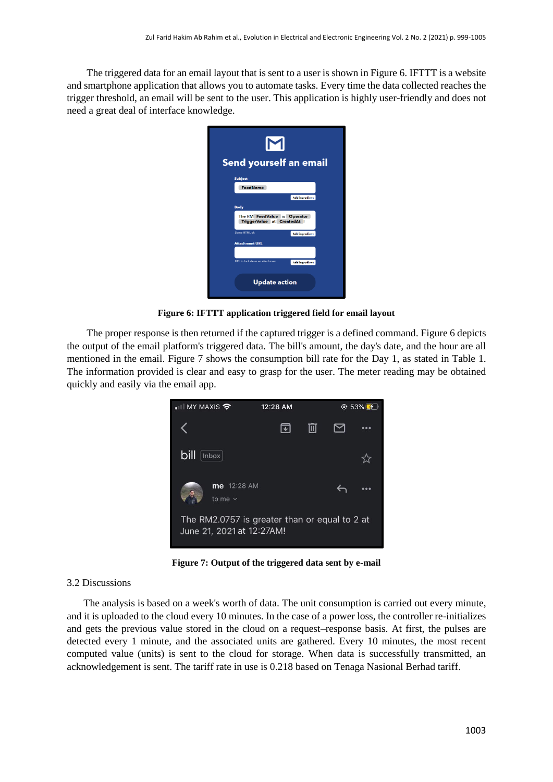The triggered data for an email layout that is sent to a user is shown in Figure 6. IFTTT is a website and smartphone application that allows you to automate tasks. Every time the data collected reaches the trigger threshold, an email will be sent to the user. This application is highly user-friendly and does not need a great deal of interface knowledge.



**Figure 6: IFTTT application triggered field for email layout**

The proper response is then returned if the captured trigger is a defined command. Figure 6 depicts the output of the email platform's triggered data. The bill's amount, the day's date, and the hour are all mentioned in the email. Figure 7 shows the consumption bill rate for the Day 1, as stated in Table 1. The information provided is clear and easy to grasp for the user. The meter reading may be obtained quickly and easily via the email app.



**Figure 7: Output of the triggered data sent by e-mail**

#### 3.2 Discussions

The analysis is based on a week's worth of data. The unit consumption is carried out every minute, and it is uploaded to the cloud every 10 minutes. In the case of a power loss, the controller re-initializes and gets the previous value stored in the cloud on a request–response basis. At first, the pulses are detected every 1 minute, and the associated units are gathered. Every 10 minutes, the most recent computed value (units) is sent to the cloud for storage. When data is successfully transmitted, an acknowledgement is sent. The tariff rate in use is 0.218 based on Tenaga Nasional Berhad tariff.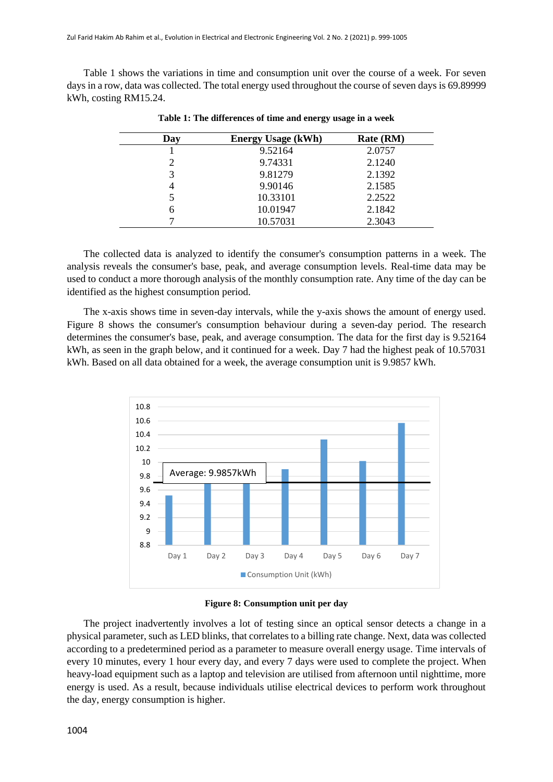Table 1 shows the variations in time and consumption unit over the course of a week. For seven days in a row, data was collected. The total energy used throughout the course of seven days is 69.89999 kWh, costing RM15.24.

| Day | <b>Energy Usage (kWh)</b> | Rate (RM) |
|-----|---------------------------|-----------|
|     | 9.52164                   | 2.0757    |
| 2   | 9.74331                   | 2.1240    |
| 3   | 9.81279                   | 2.1392    |
|     | 9.90146                   | 2.1585    |
|     | 10.33101                  | 2.2522    |
| 6   | 10.01947                  | 2.1842    |
|     | 10.57031                  | 2.3043    |

**Table 1: The differences of time and energy usage in a week**

The collected data is analyzed to identify the consumer's consumption patterns in a week. The analysis reveals the consumer's base, peak, and average consumption levels. Real-time data may be used to conduct a more thorough analysis of the monthly consumption rate. Any time of the day can be identified as the highest consumption period.

The x-axis shows time in seven-day intervals, while the y-axis shows the amount of energy used. Figure 8 shows the consumer's consumption behaviour during a seven-day period. The research determines the consumer's base, peak, and average consumption. The data for the first day is 9.52164 kWh, as seen in the graph below, and it continued for a week. Day 7 had the highest peak of 10.57031 kWh. Based on all data obtained for a week, the average consumption unit is 9.9857 kWh.



**Figure 8: Consumption unit per day**

The project inadvertently involves a lot of testing since an optical sensor detects a change in a physical parameter, such as LED blinks, that correlates to a billing rate change. Next, data was collected according to a predetermined period as a parameter to measure overall energy usage. Time intervals of every 10 minutes, every 1 hour every day, and every 7 days were used to complete the project. When heavy-load equipment such as a laptop and television are utilised from afternoon until nighttime, more energy is used. As a result, because individuals utilise electrical devices to perform work throughout the day, energy consumption is higher.